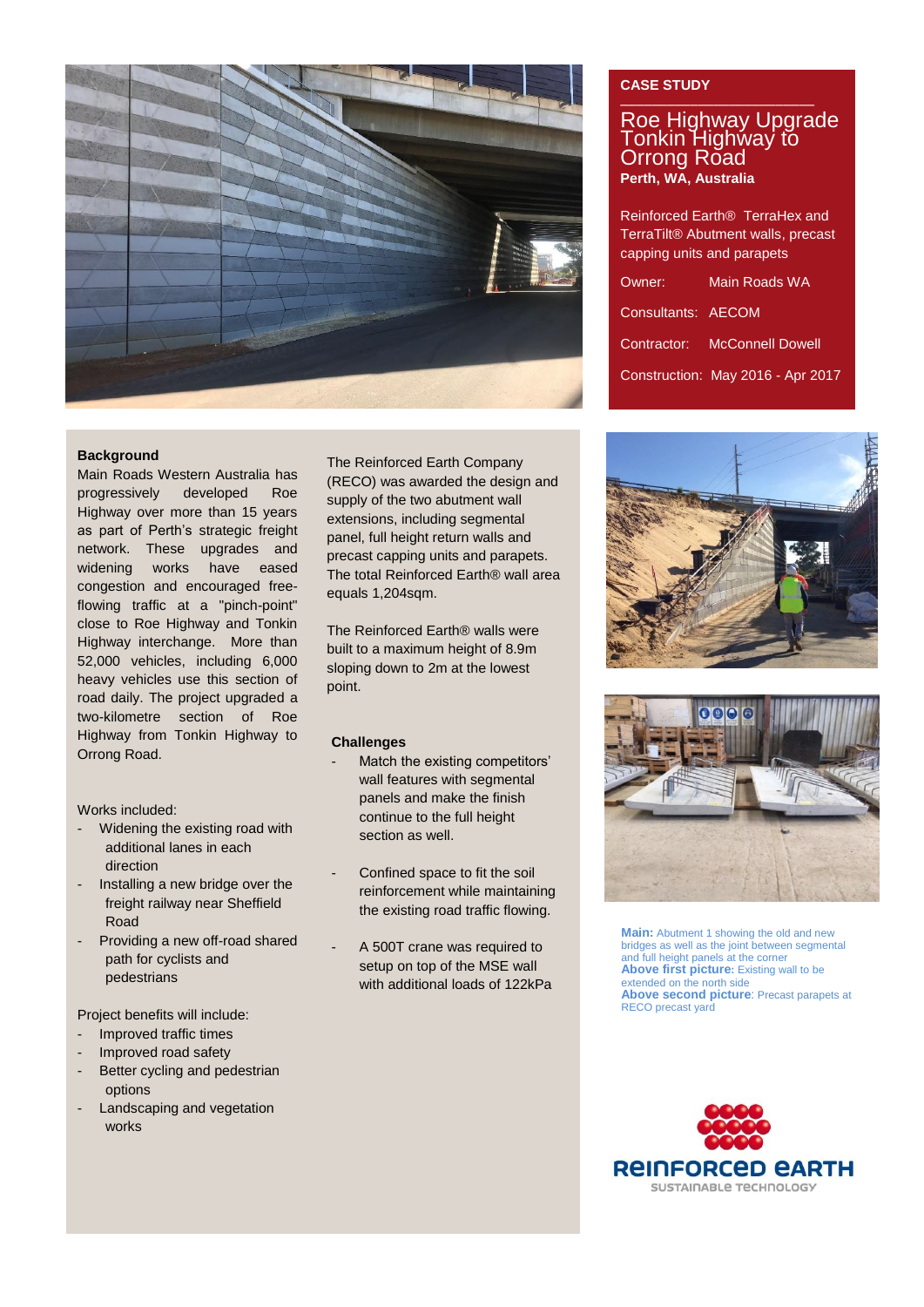

#### **Background**

Main Roads Western Australia has progressively developed Roe Highway over more than 15 years as part of Perth's strategic freight network. These upgrades and widening works have eased congestion and encouraged freeflowing traffic at a "pinch-point" close to Roe Highway and Tonkin Highway interchange. More than 52,000 vehicles, including 6,000 heavy vehicles use this section of road daily. The project upgraded a two-kilometre section of Roe Highway from Tonkin Highway to Orrong Road.

Works included:

- Widening the existing road with additional lanes in each direction
- Installing a new bridge over the freight railway near Sheffield Road
- Providing a new off-road shared path for cyclists and pedestrians

Project benefits will include:

- Improved traffic times
- Improved road safety
- Better cycling and pedestrian options
- Landscaping and vegetation works

The Reinforced Earth Company (RECO) was awarded the design and supply of the two abutment wall extensions, including segmental panel, full height return walls and precast capping units and parapets. The total Reinforced Earth® wall area equals 1,204sqm.

The Reinforced Earth® walls were built to a maximum height of 8.9m sloping down to 2m at the lowest point.

#### **Challenges**

- Match the existing competitors' wall features with segmental panels and make the finish continue to the full height section as well.
- Confined space to fit the soil reinforcement while maintaining the existing road traffic flowing.
- A 500T crane was required to setup on top of the MSE wall with additional loads of 122kPa

## **CASE STUDY**

# ––––––––––––––––––––––––– Roe Highway Upgrade Tonkin Highway to Orrong Road **Perth, WA, Australia**

Reinforced Earth® TerraHex and TerraTilt® Abutment walls, precast capping units and parapets

| Owner:             | Main Roads WA                     |
|--------------------|-----------------------------------|
| Consultants: AECOM |                                   |
|                    | Contractor: McConnell Dowell      |
|                    | Construction: May 2016 - Apr 2017 |





**Main:** Abutment 1 showing the old and new bridges as well as the joint between segmental and full height panels at the corner **Above first picture:** Existing wall to be extended on the north side **Above second picture**: Precast parapets at RECO precast yard